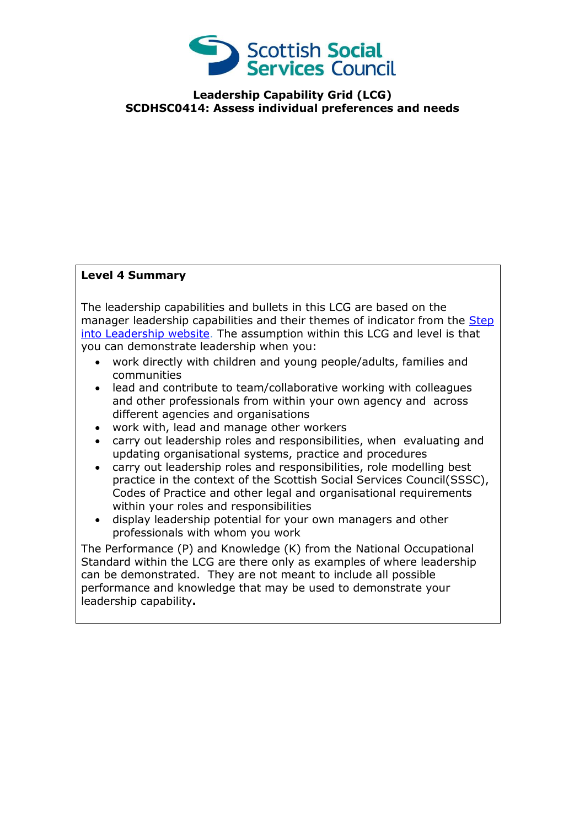

**Leadership Capability Grid (LCG) SCDHSC0414: Assess individual preferences and needs**

## **Level 4 Summary**

The leadership capabilities and bullets in this LCG are based on the manager leadership capabilities and their themes of indicator from the Step [into Leadership website.](http://www.stepintoleadership.info/) The assumption within this LCG and level is that you can demonstrate leadership when you:

- work directly with children and young people/adults, families and communities
- lead and contribute to team/collaborative working with colleagues and other professionals from within your own agency and across different agencies and organisations
- work with, lead and manage other workers
- carry out leadership roles and responsibilities, when evaluating and updating organisational systems, practice and procedures
- carry out leadership roles and responsibilities, role modelling best practice in the context of the Scottish Social Services Council(SSSC), Codes of Practice and other legal and organisational requirements within your roles and responsibilities
- display leadership potential for your own managers and other professionals with whom you work

The Performance (P) and Knowledge (K) from the National Occupational Standard within the LCG are there only as examples of where leadership can be demonstrated. They are not meant to include all possible performance and knowledge that may be used to demonstrate your leadership capability**.**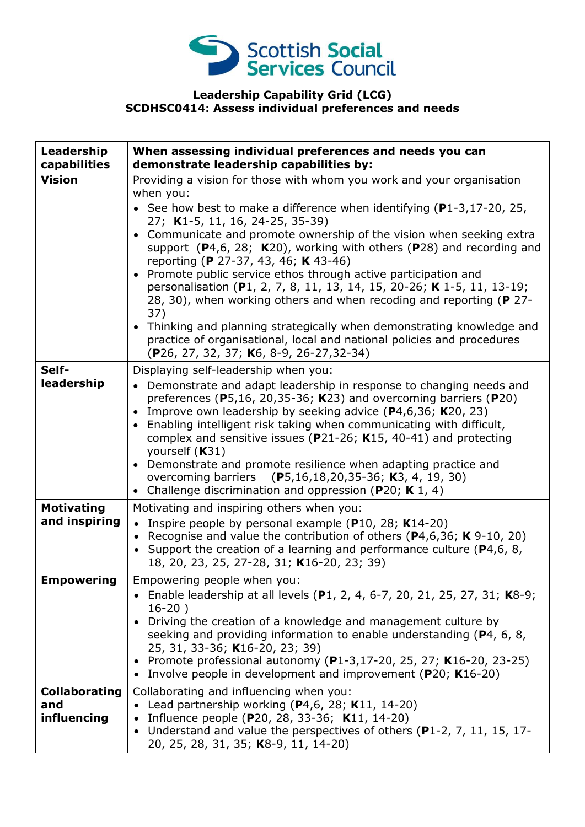

## **Leadership Capability Grid (LCG) SCDHSC0414: Assess individual preferences and needs**

| Leadership<br>capabilities                 | When assessing individual preferences and needs you can<br>demonstrate leadership capabilities by:                                                                                                                                                                                                                                                                                                                                                                                                                                                                                                                                                                                                                                                                                                                   |
|--------------------------------------------|----------------------------------------------------------------------------------------------------------------------------------------------------------------------------------------------------------------------------------------------------------------------------------------------------------------------------------------------------------------------------------------------------------------------------------------------------------------------------------------------------------------------------------------------------------------------------------------------------------------------------------------------------------------------------------------------------------------------------------------------------------------------------------------------------------------------|
| <b>Vision</b>                              | Providing a vision for those with whom you work and your organisation<br>when you:<br>• See how best to make a difference when identifying $(P1-3, 17-20, 25,$<br>27; K1-5, 11, 16, 24-25, 35-39)<br>Communicate and promote ownership of the vision when seeking extra<br>support $(P4,6, 28; K20)$ , working with others $(P28)$ and recording and<br>reporting (P 27-37, 43, 46; K 43-46)<br>Promote public service ethos through active participation and<br>personalisation (P1, 2, 7, 8, 11, 13, 14, 15, 20-26; K 1-5, 11, 13-19;<br>28, 30), when working others and when recoding and reporting (P 27-<br>37)<br>• Thinking and planning strategically when demonstrating knowledge and<br>practice of organisational, local and national policies and procedures<br>(P26, 27, 32, 37; K6, 8-9, 26-27,32-34) |
| Self-<br>leadership                        | Displaying self-leadership when you:<br>• Demonstrate and adapt leadership in response to changing needs and<br>preferences ( $P$ 5,16, 20,35-36; K23) and overcoming barriers ( $P$ 20)<br>Improve own leadership by seeking advice (P4,6,36; K20, 23)<br>$\bullet$<br>Enabling intelligent risk taking when communicating with difficult,<br>$\bullet$<br>complex and sensitive issues ( $P$ 21-26; K15, 40-41) and protecting<br>yourself (K31)<br>Demonstrate and promote resilience when adapting practice and<br>overcoming barriers (P5,16,18,20,35-36; K3, 4, 19, 30)<br>Challenge discrimination and oppression (P20; K 1, 4)<br>$\bullet$                                                                                                                                                                  |
| <b>Motivating</b><br>and inspiring         | Motivating and inspiring others when you:<br>• Inspire people by personal example ( $P10$ , 28; K14-20)<br>Recognise and value the contribution of others ( $P$ 4,6,36; K 9-10, 20)<br>Support the creation of a learning and performance culture (P4,6, 8,<br>18, 20, 23, 25, 27-28, 31; K16-20, 23; 39)                                                                                                                                                                                                                                                                                                                                                                                                                                                                                                            |
| <b>Empowering</b>                          | Empowering people when you:<br>• Enable leadership at all levels (P1, 2, 4, 6-7, 20, 21, 25, 27, 31; K8-9;<br>$16-20)$<br>Driving the creation of a knowledge and management culture by<br>seeking and providing information to enable understanding (P4, 6, 8,<br>25, 31, 33-36; K16-20, 23; 39)<br>• Promote professional autonomy (P1-3,17-20, 25, 27; K16-20, 23-25)<br>Involve people in development and improvement (P20; K16-20)                                                                                                                                                                                                                                                                                                                                                                              |
| <b>Collaborating</b><br>and<br>influencing | Collaborating and influencing when you:<br>• Lead partnership working $(P4,6, 28; K11, 14-20)$<br>Influence people (P20, 28, 33-36; K11, 14-20)<br>Understand and value the perspectives of others (P1-2, 7, 11, 15, 17-<br>20, 25, 28, 31, 35; K8-9, 11, 14-20)                                                                                                                                                                                                                                                                                                                                                                                                                                                                                                                                                     |